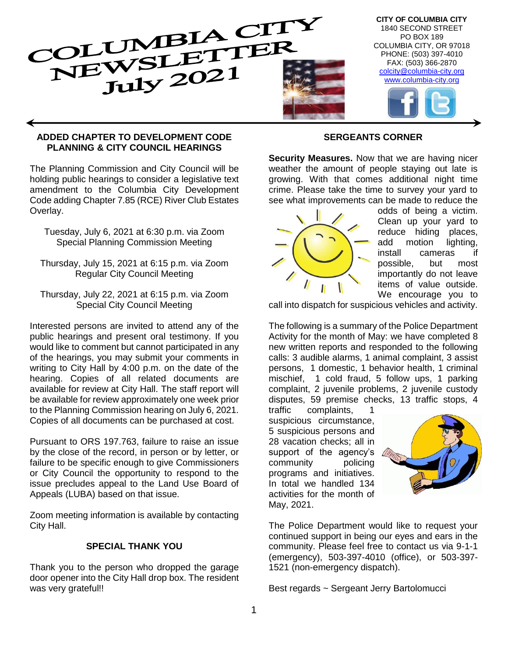

#### **ADDED CHAPTER TO DEVELOPMENT CODE PLANNING & CITY COUNCIL HEARINGS**

The Planning Commission and City Council will be holding public hearings to consider a legislative text amendment to the Columbia City Development Code adding Chapter 7.85 (RCE) River Club Estates Overlay.

- Tuesday, July 6, 2021 at 6:30 p.m. via Zoom Special Planning Commission Meeting
- Thursday, July 15, 2021 at 6:15 p.m. via Zoom Regular City Council Meeting
- Thursday, July 22, 2021 at 6:15 p.m. via Zoom Special City Council Meeting

Interested persons are invited to attend any of the public hearings and present oral testimony. If you would like to comment but cannot participated in any of the hearings, you may submit your comments in writing to City Hall by 4:00 p.m. on the date of the hearing. Copies of all related documents are available for review at City Hall. The staff report will be available for review approximately one week prior to the Planning Commission hearing on July 6, 2021. Copies of all documents can be purchased at cost.

Pursuant to ORS 197.763, failure to raise an issue by the close of the record, in person or by letter, or failure to be specific enough to give Commissioners or City Council the opportunity to respond to the issue precludes appeal to the Land Use Board of Appeals (LUBA) based on that issue.

Zoom meeting information is available by contacting City Hall.

### **SPECIAL THANK YOU**

Thank you to the person who dropped the garage door opener into the City Hall drop box. The resident was very grateful!!

### **SERGEANTS CORNER**

**Security Measures.** Now that we are having nicer weather the amount of people staying out late is growing. With that comes additional night time crime. Please take the time to survey your yard to see what improvements can be made to reduce the



odds of being a victim. Clean up your yard to reduce hiding places, add motion lighting, install cameras if possible, but most importantly do not leave items of value outside. We encourage you to

call into dispatch for suspicious vehicles and activity.

The following is a summary of the Police Department Activity for the month of May: we have completed 8 new written reports and responded to the following calls: 3 audible alarms, 1 animal complaint, 3 assist persons, 1 domestic, 1 behavior health, 1 criminal mischief, 1 cold fraud, 5 follow ups, 1 parking complaint, 2 juvenile problems, 2 juvenile custody disputes, 59 premise checks, 13 traffic stops, 4

traffic complaints, 1 suspicious circumstance, 5 suspicious persons and 28 vacation checks; all in support of the agency's community policing programs and initiatives. In total we handled 134 activities for the month of May, 2021.



The Police Department would like to request your continued support in being our eyes and ears in the community. Please feel free to contact us via 9-1-1 (emergency), 503-397-4010 (office), or 503-397- 1521 (non-emergency dispatch).

Best regards ~ Sergeant Jerry Bartolomucci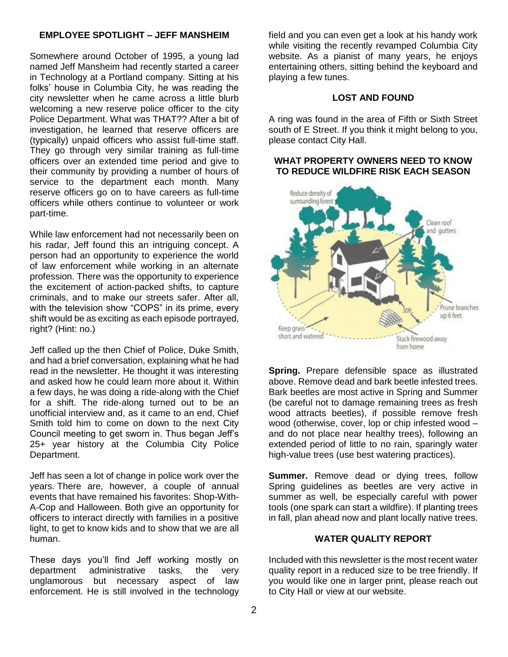### **EMPLOYEE SPOTLIGHT – JEFF MANSHEIM**

Somewhere around October of 1995, a young lad named Jeff Mansheim had recently started a career in Technology at a Portland company. Sitting at his folks' house in Columbia City, he was reading the city newsletter when he came across a little blurb welcoming a new reserve police officer to the city Police Department. What was THAT?? After a bit of investigation, he learned that reserve officers are (typically) unpaid officers who assist full-time staff. They go through very similar training as full-time officers over an extended time period and give to their community by providing a number of hours of service to the department each month. Many reserve officers go on to have careers as full-time officers while others continue to volunteer or work part-time.

While law enforcement had not necessarily been on his radar, Jeff found this an intriguing concept. A person had an opportunity to experience the world of law enforcement while working in an alternate profession. There was the opportunity to experience the excitement of action-packed shifts, to capture criminals, and to make our streets safer. After all, with the television show "COPS" in its prime, every shift would be as exciting as each episode portrayed, right? (Hint: no.)

Jeff called up the then Chief of Police, Duke Smith, and had a brief conversation, explaining what he had read in the newsletter. He thought it was interesting and asked how he could learn more about it. Within a few days, he was doing a ride-along with the Chief for a shift. The ride-along turned out to be an unofficial interview and, as it came to an end, Chief Smith told him to come on down to the next City Council meeting to get sworn in. Thus began Jeff's 25+ year history at the Columbia City Police Department.

Jeff has seen a lot of change in police work over the years. There are, however, a couple of annual events that have remained his favorites: Shop-With-A-Cop and Halloween. Both give an opportunity for officers to interact directly with families in a positive light, to get to know kids and to show that we are all human.

These days you'll find Jeff working mostly on department administrative tasks, the very unglamorous but necessary aspect of law enforcement. He is still involved in the technology field and you can even get a look at his handy work while visiting the recently revamped Columbia City website. As a pianist of many years, he enjoys entertaining others, sitting behind the keyboard and playing a few tunes.

#### **LOST AND FOUND**

A ring was found in the area of Fifth or Sixth Street south of E Street. If you think it might belong to you, please contact City Hall.

### **WHAT PROPERTY OWNERS NEED TO KNOW TO REDUCE WILDFIRE RISK EACH SEASON**



**Spring.** Prepare defensible space as illustrated above. Remove dead and bark beetle infested trees. Bark beetles are most active in Spring and Summer (be careful not to damage remaining trees as fresh wood attracts beetles), if possible remove fresh wood (otherwise, cover, lop or chip infested wood – and do not place near healthy trees), following an extended period of little to no rain, sparingly water high-value trees (use best watering practices).

**Summer.** Remove dead or dying trees, follow Spring guidelines as beetles are very active in summer as well, be especially careful with power tools (one spark can start a wildfire). If planting trees in fall, plan ahead now and plant locally native trees.

### **WATER QUALITY REPORT**

Included with this newsletter is the most recent water quality report in a reduced size to be tree friendly. If you would like one in larger print, please reach out to City Hall or view at our website.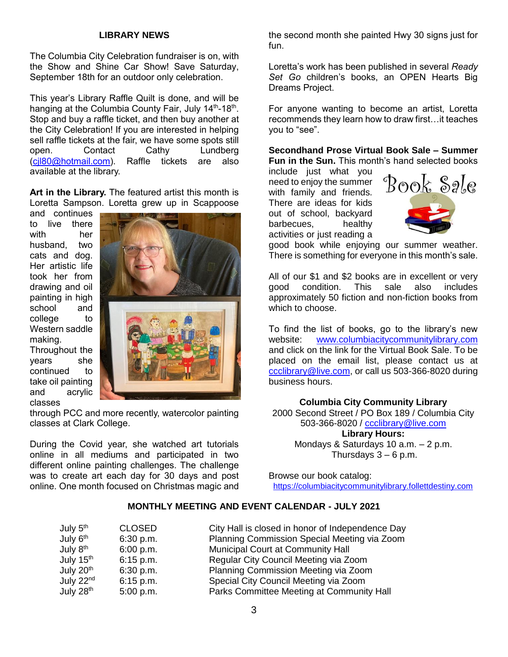### **LIBRARY NEWS**

The Columbia City Celebration fundraiser is on, with the Show and Shine Car Show! Save Saturday, September 18th for an outdoor only celebration.

This year's Library Raffle Quilt is done, and will be hanging at the Columbia County Fair, July 14<sup>th</sup>-18<sup>th</sup>. Stop and buy a raffle ticket, and then buy another at the City Celebration! If you are interested in helping sell raffle tickets at the fair, we have some spots still open. Contact Cathy Lundberg [\(cjl80@hotmail.com\)](mailto:cjl80@hotmail.com). Raffle tickets are also available at the library.

**Art in the Library.** The featured artist this month is Loretta Sampson. Loretta grew up in Scappoose

and continues to live there with her husband, two cats and dog. Her artistic life took her from drawing and oil painting in high school and college to Western saddle making.

Throughout the years she continued to take oil painting and acrylic classes



through PCC and more recently, watercolor painting classes at Clark College.

During the Covid year, she watched art tutorials online in all mediums and participated in two different online painting challenges. The challenge was to create art each day for 30 days and post online. One month focused on Christmas magic and

the second month she painted Hwy 30 signs just for fun.

Loretta's work has been published in several *Ready Set Go* children's books, an OPEN Hearts Big Dreams Project.

For anyone wanting to become an artist, Loretta recommends they learn how to draw first…it teaches you to "see".

**Secondhand Prose Virtual Book Sale – Summer Fun in the Sun.** This month's hand selected books

include just what you need to enjoy the summer with family and friends. There are ideas for kids out of school, backyard barbecues, healthy activities or just reading a



good book while enjoying our summer weather. There is something for everyone in this month's sale.

All of our \$1 and \$2 books are in excellent or very good condition. This sale also includes approximately 50 fiction and non-fiction books from which to choose.

To find the list of books, go to the library's new website: [www.columbiacitycommunitylibrary.com](http://www.columbiacitycommunitylibrary.com/) and click on the link for the Virtual Book Sale. To be placed on the email list, please contact us at [ccclibrary@live.com,](mailto:ccclibrary@live.com) or call us 503-366-8020 during business hours.

#### **Columbia City Community Library**

2000 Second Street / PO Box 189 / Columbia City 503-366-8020 / [ccclibrary@live.com](mailto:ccclibrary@live.com) **Library Hours:** Mondays & Saturdays 10 a.m. – 2 p.m. Thursdays  $3 - 6$  p.m.

Browse our book catalog: [https://columbiacitycommunitylibrary.follettdestiny.com](https://columbiacitycommunitylibrary.follettdestiny.com/)

### **MONTHLY MEETING AND EVENT CALENDAR - JULY 2021**

| July 5 <sup>th</sup>  | <b>CLOSED</b> | City Hall is closed in honor of Independence Day |
|-----------------------|---------------|--------------------------------------------------|
| July 6 <sup>th</sup>  | 6:30 p.m.     | Planning Commission Special Meeting via Zoom     |
| July 8 <sup>th</sup>  | 6:00 p.m.     | Municipal Court at Community Hall                |
| July 15 <sup>th</sup> | 6:15 p.m.     | Regular City Council Meeting via Zoom            |
| July 20 <sup>th</sup> | 6:30 p.m.     | Planning Commission Meeting via Zoom             |
| July 22 <sup>nd</sup> | $6:15$ p.m.   | Special City Council Meeting via Zoom            |
| July 28 <sup>th</sup> | 5:00 p.m.     | Parks Committee Meeting at Community Hall        |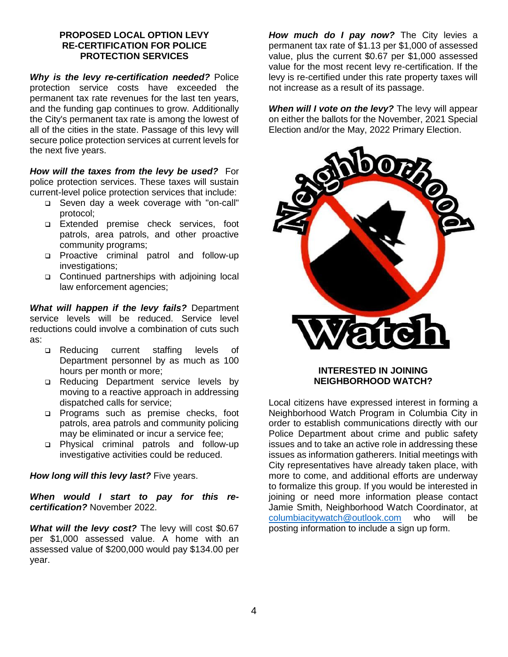### **PROPOSED LOCAL OPTION LEVY RE-CERTIFICATION FOR POLICE PROTECTION SERVICES**

*Why is the levy re-certification needed?* Police protection service costs have exceeded the permanent tax rate revenues for the last ten years, and the funding gap continues to grow. Additionally the City's permanent tax rate is among the lowest of all of the cities in the state. Passage of this levy will secure police protection services at current levels for the next five years.

*How will the taxes from the levy be used?* For police protection services. These taxes will sustain current-level police protection services that include:

- Seven day a week coverage with "on-call" protocol;
- Extended premise check services, foot patrols, area patrols, and other proactive community programs;
- Proactive criminal patrol and follow-up investigations;
- □ Continued partnerships with adjoining local law enforcement agencies;

*What will happen if the levy fails?* Department service levels will be reduced. Service level reductions could involve a combination of cuts such as:

- □ Reducing current staffing levels of Department personnel by as much as 100 hours per month or more;
- □ Reducing Department service levels by moving to a reactive approach in addressing dispatched calls for service;
- **Programs such as premise checks, foot** patrols, area patrols and community policing may be eliminated or incur a service fee;
- Physical criminal patrols and follow-up investigative activities could be reduced.

*How long will this levy last?* Five years.

*When would I start to pay for this recertification?* November 2022.

*What will the levy cost?* The levy will cost \$0.67 per \$1,000 assessed value. A home with an assessed value of \$200,000 would pay \$134.00 per year.

*How much do I pay now?* The City levies a permanent tax rate of \$1.13 per \$1,000 of assessed value, plus the current \$0.67 per \$1,000 assessed value for the most recent levy re-certification. If the levy is re-certified under this rate property taxes will not increase as a result of its passage.

*When will I vote on the levy?* The levy will appear on either the ballots for the November, 2021 Special Election and/or the May, 2022 Primary Election.



### **INTERESTED IN JOINING NEIGHBORHOOD WATCH?**

Local citizens have expressed interest in forming a Neighborhood Watch Program in Columbia City in order to establish communications directly with our Police Department about crime and public safety issues and to take an active role in addressing these issues as information gatherers. Initial meetings with City representatives have already taken place, with more to come, and additional efforts are underway to formalize this group. If you would be interested in joining or need more information please contact Jamie Smith, Neighborhood Watch Coordinator, at [columbiacitywatch@outlook.com](mailto:columbiacitywatch@outlook.com) who will be posting information to include a sign up form.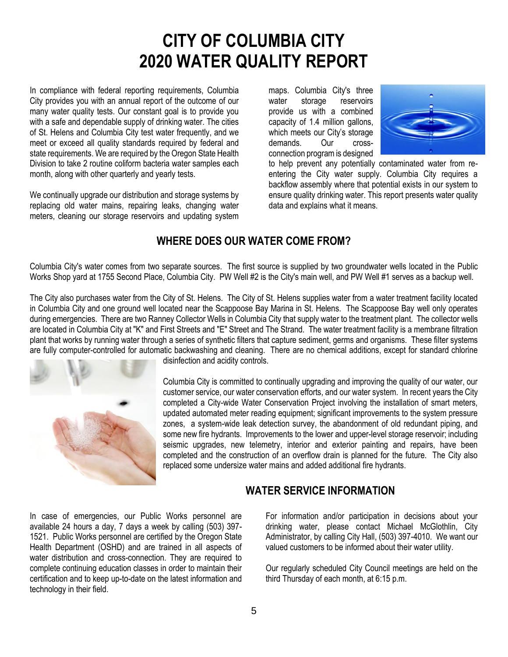# **CITY OF COLUMBIA CITY 2020 WATER QUALITY REPORT**

In compliance with federal reporting requirements, Columbia City provides you with an annual report of the outcome of our many water quality tests. Our constant goal is to provide you with a safe and dependable supply of drinking water. The cities of St. Helens and Columbia City test water frequently, and we meet or exceed all quality standards required by federal and state requirements. We are required by the Oregon State Health Division to take 2 routine coliform bacteria water samples each month, along with other quarterly and yearly tests.

We continually upgrade our distribution and storage systems by replacing old water mains, repairing leaks, changing water meters, cleaning our storage reservoirs and updating system maps. Columbia City's three water storage reservoirs provide us with a combined capacity of 1.4 million gallons, which meets our City's storage demands. Our crossconnection program is designed



to help prevent any potentially contaminated water from reentering the City water supply. Columbia City requires a backflow assembly where that potential exists in our system to ensure quality drinking water. This report presents water quality data and explains what it means.

# **WHERE DOES OUR WATER COME FROM?**

Columbia City's water comes from two separate sources. The first source is supplied by two groundwater wells located in the Public Works Shop yard at 1755 Second Place, Columbia City. PW Well #2 is the City's main well, and PW Well #1 serves as a backup well.

The City also purchases water from the City of St. Helens. The City of St. Helens supplies water from a water treatment facility located in Columbia City and one ground well located near the Scappoose Bay Marina in St. Helens. The Scappoose Bay well only operates during emergencies. There are two Ranney Collector Wells in Columbia City that supply water to the treatment plant. The collector wells are located in Columbia City at "K" and First Streets and "E" Street and The Strand. The water treatment facility is a membrane filtration plant that works by running water through a series of synthetic filters that capture sediment, germs and organisms. These filter systems are fully computer-controlled for automatic backwashing and cleaning. There are no chemical additions, except for standard chlorine



disinfection and acidity controls.

Columbia City is committed to continually upgrading and improving the quality of our water, our customer service, our water conservation efforts, and our water system. In recent years the City completed a City-wide Water Conservation Project involving the installation of smart meters, updated automated meter reading equipment; significant improvements to the system pressure zones, a system-wide leak detection survey, the abandonment of old redundant piping, and some new fire hydrants. Improvements to the lower and upper-level storage reservoir; including seismic upgrades, new telemetry, interior and exterior painting and repairs, have been completed and the construction of an overflow drain is planned for the future. The City also replaced some undersize water mains and added additional fire hydrants.

### **WATER SERVICE INFORMATION**

In case of emergencies, our Public Works personnel are available 24 hours a day, 7 days a week by calling (503) 397- 1521. Public Works personnel are certified by the Oregon State Health Department (OSHD) and are trained in all aspects of water distribution and cross-connection. They are required to complete continuing education classes in order to maintain their certification and to keep up-to-date on the latest information and technology in their field.

For information and/or participation in decisions about your drinking water, please contact Michael McGlothlin, City Administrator, by calling City Hall, (503) 397-4010. We want our valued customers to be informed about their water utility.

Our regularly scheduled City Council meetings are held on the third Thursday of each month, at 6:15 p.m.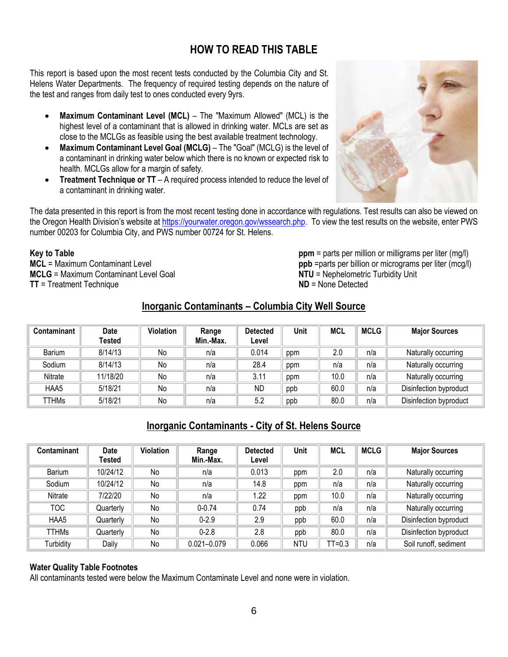# **HOW TO READ THIS TABLE**

This report is based upon the most recent tests conducted by the Columbia City and St. Helens Water Departments. The frequency of required testing depends on the nature of the test and ranges from daily test to ones conducted every 9yrs.

- **Maximum Contaminant Level (MCL)** The "Maximum Allowed" (MCL) is the highest level of a contaminant that is allowed in drinking water. MCLs are set as close to the MCLGs as feasible using the best available treatment technology.
- **Maximum Contaminant Level Goal (MCLG)** The "Goal" (MCLG) is the level of a contaminant in drinking water below which there is no known or expected risk to health. MCLGs allow for a margin of safety.
- **Treatment Technique or TT** A required process intended to reduce the level of a contaminant in drinking water.



The data presented in this report is from the most recent testing done in accordance with regulations. Test results can also be viewed on the Oregon Health Division's website at https://yourwater.oregon.gov/wssearch.php. To view the test results on the website, enter PWS number 00203 for Columbia City, and PWS number 00724 for St. Helens.

#### **Key to Table**

**MCL** = Maximum Contaminant Level **MCLG** = Maximum Contaminant Level Goal **TT** = Treatment Technique

**ppm** = parts per million or milligrams per liter (mg/l) **ppb** =parts per billion or micrograms per liter (mcg/l) **NTU** = Nephelometric Turbidity Unit **ND** = None Detected

### **Inorganic Contaminants – Columbia City Well Source**

| Contaminant | <b>Date</b><br>Tested | <b>Violation</b> | Range<br>Min.-Max. | <b>Detected</b><br>Level | Unit | <b>MCL</b> | <b>MCLG</b> | <b>Major Sources</b>   |
|-------------|-----------------------|------------------|--------------------|--------------------------|------|------------|-------------|------------------------|
| Barium      | 8/14/13               | No               | n/a                | 0.014                    | ppm  | 2.0        | n/a         | Naturally occurring    |
| Sodium      | 8/14/13               | No               | n/a                | 28.4                     | ppm  | n/a        | n/a         | Naturally occurring    |
| Nitrate     | 11/18/20              | No               | n/a                | 3.11                     | ppm  | 10.0       | n/a         | Naturally occurring    |
| HAA5        | 5/18/21               | No               | n/a                | ND                       | ppb  | 60.0       | n/a         | Disinfection byproduct |
| TTHMs       | 5/18/21               | No               | n/a                | 5.2                      | ppb  | 80.0       | n/a         | Disinfection byproduct |

### **Inorganic Contaminants - City of St. Helens Source**

| Contaminant  | <b>Date</b><br>Tested | Violation | Range<br>Min.-Max. | <b>Detected</b><br>Level | Unit | MCL      | <b>MCLG</b> | <b>Major Sources</b>   |
|--------------|-----------------------|-----------|--------------------|--------------------------|------|----------|-------------|------------------------|
| Barium       | 10/24/12              | No        | n/a                | 0.013                    | ppm  | 2.0      | n/a         | Naturally occurring    |
| Sodium       | 10/24/12              | No        | n/a                | 14.8                     | ppm  | n/a      | n/a         | Naturally occurring    |
| Nitrate      | 7/22/20               | No        | n/a                | 1.22                     | ppm  | 10.0     | n/a         | Naturally occurring    |
| тос          | Quarterly             | No        | $0 - 0.74$         | 0.74                     | ppb  | n/a      | n/a         | Naturally occurring    |
| HAA5         | Quarterly             | No        | $0 - 2.9$          | 2.9                      | ppb  | 60.0     | n/a         | Disinfection byproduct |
| <b>TTHMs</b> | Quarterly             | No        | $0 - 2.8$          | 2.8                      | ppb  | 80.0     | n/a         | Disinfection byproduct |
| Turbidity    | Daily                 | No        | $0.021 - 0.079$    | 0.066                    | NTU  | $TT=0.3$ | n/a         | Soil runoff, sediment  |

#### **Water Quality Table Footnotes**

All contaminants tested were below the Maximum Contaminate Level and none were in violation.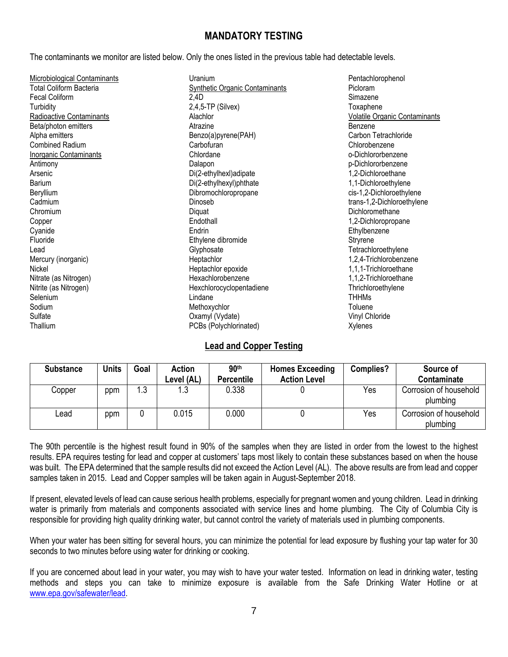### **MANDATORY TESTING**

The contaminants we monitor are listed below. Only the ones listed in the previous table had detectable levels.

| Microbiological Contaminants  | Uranium                               | Pentachlorophenol                    |
|-------------------------------|---------------------------------------|--------------------------------------|
| Total Coliform Bacteria       | <b>Synthetic Organic Contaminants</b> | Picloram                             |
| <b>Fecal Coliform</b>         | 2,4D                                  | Simazene                             |
| Turbidity                     | $2,4,5$ -TP (Silvex)                  | Toxaphene                            |
| Radioactive Contaminants      | Alachlor                              | <b>Volatile Organic Contaminants</b> |
| Beta/photon emitters          | Atrazine                              | Benzene                              |
| Alpha emitters                | Benzo(a)pyrene(PAH)                   | Carbon Tetrachloride                 |
| <b>Combined Radium</b>        | Carbofuran                            | Chlorobenzene                        |
| <b>Inorganic Contaminants</b> | Chlordane                             | o-Dichlororbenzene                   |
| Antimony                      | Dalapon                               | p-Dichlororbenzene                   |
| Arsenic                       | Di(2-ethylhexl)adipate                | 1,2-Dichloroethane                   |
| <b>Barium</b>                 | Di(2-ethylhexyl)phthate               | 1,1-Dichloroethylene                 |
| Beryllium                     | Dibromochloropropane                  | cis-1,2-Dichloroethylene             |
| Cadmium                       | Dinoseb                               | trans-1,2-Dichloroethylene           |
| Chromium                      | Diquat                                | Dichloromethane                      |
| Copper                        | Endothall                             | 1,2-Dichloropropane                  |
| Cyanide                       | Endrin                                | Ethylbenzene                         |
| Fluoride                      | Ethylene dibromide                    | Stryrene                             |
| Lead                          | Glyphosate                            | Tetrachloroethylene                  |
| Mercury (inorganic)           | Heptachlor                            | 1,2,4-Trichlorobenzene               |
| Nickel                        | Heptachlor epoxide                    | 1,1,1-Trichloroethane                |
| Nitrate (as Nitrogen)         | Hexachlorobenzene                     | 1,1,2-Trichloroethane                |
| Nitrite (as Nitrogen)         | Hexchlorocyclopentadiene              | Thrichloroethylene                   |
| Selenium                      | Lindane                               | <b>THHMs</b>                         |
| Sodium                        | Methoxychlor                          | Toluene                              |
| Sulfate                       | Oxamyl (Vydate)                       | Vinyl Chloride                       |
| Thallium                      | PCBs (Polychlorinated)                | Xylenes                              |

### **Lead and Copper Testing**

| <b>Substance</b> | <b>Units</b> | Goal | Action     | 90 <sup>th</sup>  | <b>Homes Exceeding</b> | <b>Complies?</b> | Source of                          |
|------------------|--------------|------|------------|-------------------|------------------------|------------------|------------------------------------|
|                  |              |      | Level (AL) | <b>Percentile</b> | <b>Action Level</b>    |                  | <b>Contaminate</b>                 |
| Copper           | ppm          | 1.3  | 3. ا       | 0.338             |                        | Yes              | Corrosion of household<br>plumbing |
| Lead             | ppm          |      | 0.015      | 0.000             |                        | Yes              | Corrosion of household<br>plumbing |

The 90th percentile is the highest result found in 90% of the samples when they are listed in order from the lowest to the highest results. EPA requires testing for lead and copper at customers' taps most likely to contain these substances based on when the house was built. The EPA determined that the sample results did not exceed the Action Level (AL). The above results are from lead and copper samples taken in 2015. Lead and Copper samples will be taken again in August-September 2018.

If present, elevated levels of lead can cause serious health problems, especially for pregnant women and young children. Lead in drinking water is primarily from materials and components associated with service lines and home plumbing. The City of Columbia City is responsible for providing high quality drinking water, but cannot control the variety of materials used in plumbing components.

When your water has been sitting for several hours, you can minimize the potential for lead exposure by flushing your tap water for 30 seconds to two minutes before using water for drinking or cooking.

If you are concerned about lead in your water, you may wish to have your water tested. Information on lead in drinking water, testing methods and steps you can take to minimize exposure is available from the Safe Drinking Water Hotline or at [www.epa.gov/safewater/lead.](http://www.epa.gov/safewater/lead)